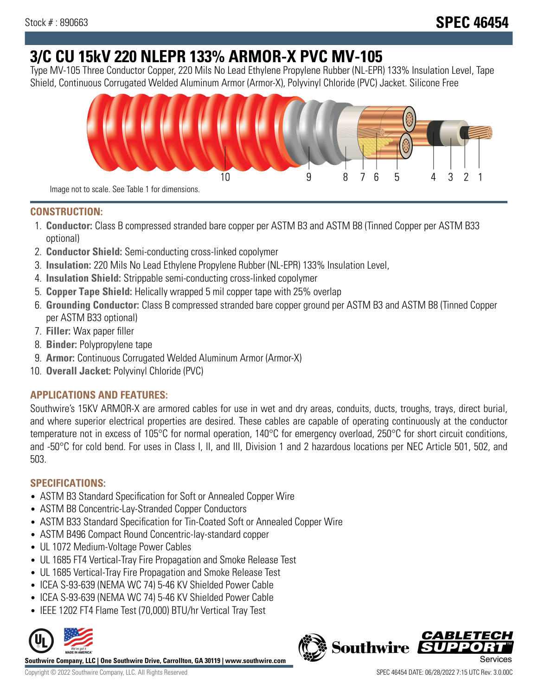# **3/C CU 15kV 220 NLEPR 133% ARMOR-X PVC MV-105**

Type MV-105 Three Conductor Copper, 220 Mils No Lead Ethylene Propylene Rubber (NL-EPR) 133% Insulation Level, Tape Shield, Continuous Corrugated Welded Aluminum Armor (Armor-X), Polyvinyl Chloride (PVC) Jacket. Silicone Free



### **CONSTRUCTION:**

- 1. **Conductor:** Class B compressed stranded bare copper per ASTM B3 and ASTM B8 (Tinned Copper per ASTM B33 optional)
- 2. **Conductor Shield:** Semi-conducting cross-linked copolymer
- 3. **Insulation:** 220 Mils No Lead Ethylene Propylene Rubber (NL-EPR) 133% Insulation Level,
- 4. **Insulation Shield:** Strippable semi-conducting cross-linked copolymer
- 5. **Copper Tape Shield:** Helically wrapped 5 mil copper tape with 25% overlap
- 6. **Grounding Conductor:** Class B compressed stranded bare copper ground per ASTM B3 and ASTM B8 (Tinned Copper per ASTM B33 optional)
- 7. **Filler:** Wax paper filler
- 8. **Binder:** Polypropylene tape
- 9. **Armor:** Continuous Corrugated Welded Aluminum Armor (Armor-X)
- 10. **Overall Jacket:** Polyvinyl Chloride (PVC)

## **APPLICATIONS AND FEATURES:**

Southwire's 15KV ARMOR-X are armored cables for use in wet and dry areas, conduits, ducts, troughs, trays, direct burial, and where superior electrical properties are desired. These cables are capable of operating continuously at the conductor temperature not in excess of 105°C for normal operation, 140°C for emergency overload, 250°C for short circuit conditions, and -50°C for cold bend. For uses in Class I, II, and III, Division 1 and 2 hazardous locations per NEC Article 501, 502, and 503.

### **SPECIFICATIONS:**

- ASTM B3 Standard Specification for Soft or Annealed Copper Wire
- ASTM B8 Concentric-Lay-Stranded Copper Conductors
- ASTM B33 Standard Specification for Tin-Coated Soft or Annealed Copper Wire
- ASTM B496 Compact Round Concentric-lay-standard copper
- UL 1072 Medium-Voltage Power Cables
- UL 1685 FT4 Vertical-Tray Fire Propagation and Smoke Release Test
- UL 1685 Vertical-Tray Fire Propagation and Smoke Release Test
- ICEA S-93-639 (NEMA WC 74) 5-46 KV Shielded Power Cable
- ICEA S-93-639 (NEMA WC 74) 5-46 KV Shielded Power Cable
- IEEE 1202 FT4 Flame Test (70,000) BTU/hr Vertical Tray Test



**Southwire Company, LLC | One Southwire Drive, Carrollton, GA 30119 | www.southwire.com**

Copyright © 2022 Southwire Company, LLC. All Rights Reserved SPEC 46454 DATE: 06/28/2022 7:15 UTC Rev: 3.0.00C